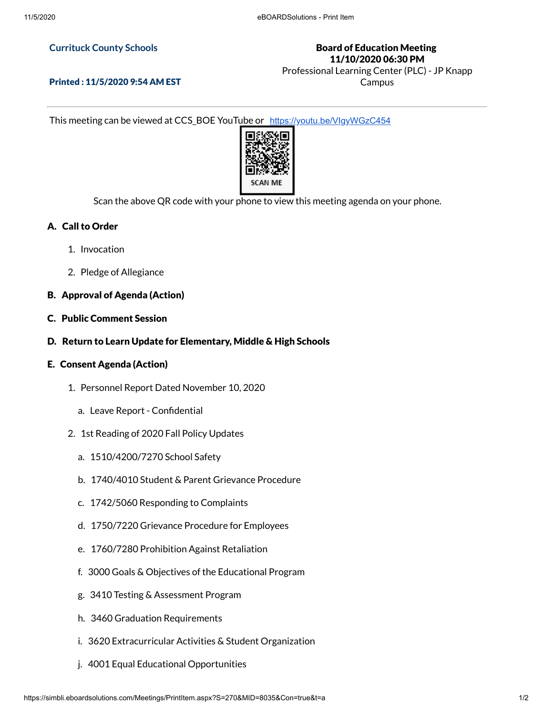## **Currituck County Schools**

# Board of Education Meeting 11/10/2020 06:30 PM

Professional Learning Center (PLC) - JP Knapp Campus

Printed : 11/5/2020 9:54 AM EST

This meeting can be viewed at CCS\_BOE YouTube or <https://youtu.be/VIgyWGzC454>



Scan the above QR code with your phone to view this meeting agenda on your phone.

# A. Call to Order

- 1. Invocation
- 2. Pledge of Allegiance

# B. Approval of Agenda (Action)

- C. Public Comment Session
- D. Return to Learn Update for Elementary, Middle & High Schools

#### E. Consent Agenda (Action)

- 1. Personnel Report Dated November 10, 2020
	- a. Leave Report Confidential
- 2. 1st Reading of 2020 Fall Policy Updates
	- a. 1510/4200/7270 School Safety
	- b. 1740/4010 Student & Parent Grievance Procedure
	- c. 1742/5060 Responding to Complaints
	- d. 1750/7220 Grievance Procedure for Employees
	- e. 1760/7280 Prohibition Against Retaliation
	- f. 3000 Goals & Objectives of the Educational Program
	- g. 3410 Testing & Assessment Program
	- h. 3460 Graduation Requirements
	- i. 3620 Extracurricular Activities & Student Organization
	- j. 4001 Equal Educational Opportunities